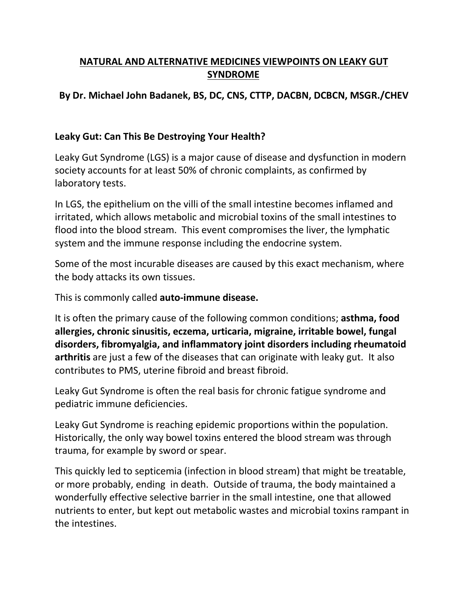# **NATURAL AND ALTERNATIVE MEDICINES VIEWPOINTS ON LEAKY GUT SYNDROME**

## **By Dr. Michael John Badanek, BS, DC, CNS, CTTP, DACBN, DCBCN, MSGR./CHEV**

#### **Leaky Gut: Can This Be Destroying Your Health?**

Leaky Gut Syndrome (LGS) is a major cause of disease and dysfunction in modern society accounts for at least 50% of chronic complaints, as confirmed by laboratory tests.

In LGS, the epithelium on the villi of the small intestine becomes inflamed and irritated, which allows metabolic and microbial toxins of the small intestines to flood into the blood stream. This event compromises the liver, the lymphatic system and the immune response including the endocrine system.

Some of the most incurable diseases are caused by this exact mechanism, where the body attacks its own tissues.

This is commonly called **auto-immune disease.**

It is often the primary cause of the following common conditions; **asthma, food allergies, chronic sinusitis, eczema, urticaria, migraine, irritable bowel, fungal disorders, fibromyalgia, and inflammatory joint disorders including rheumatoid arthritis** are just a few of the diseases that can originate with leaky gut. It also contributes to PMS, uterine fibroid and breast fibroid.

Leaky Gut Syndrome is often the real basis for chronic fatigue syndrome and pediatric immune deficiencies.

Leaky Gut Syndrome is reaching epidemic proportions within the population. Historically, the only way bowel toxins entered the blood stream was through trauma, for example by sword or spear.

This quickly led to septicemia (infection in blood stream) that might be treatable, or more probably, ending in death. Outside of trauma, the body maintained a wonderfully effective selective barrier in the small intestine, one that allowed nutrients to enter, but kept out metabolic wastes and microbial toxins rampant in the intestines.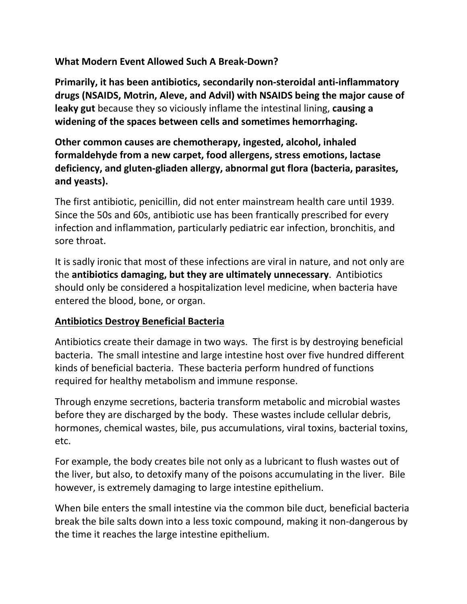### **What Modern Event Allowed Such A Break-Down?**

**Primarily, it has been antibiotics, secondarily non-steroidal anti-inflammatory drugs (NSAIDS, Motrin, Aleve, and Advil) with NSAIDS being the major cause of leaky gut** because they so viciously inflame the intestinal lining, **causing a widening of the spaces between cells and sometimes hemorrhaging.**

**Other common causes are chemotherapy, ingested, alcohol, inhaled formaldehyde from a new carpet, food allergens, stress emotions, lactase deficiency, and gluten-gliaden allergy, abnormal gut flora (bacteria, parasites, and yeasts).**

The first antibiotic, penicillin, did not enter mainstream health care until 1939. Since the 50s and 60s, antibiotic use has been frantically prescribed for every infection and inflammation, particularly pediatric ear infection, bronchitis, and sore throat.

It is sadly ironic that most of these infections are viral in nature, and not only are the **antibiotics damaging, but they are ultimately unnecessary**. Antibiotics should only be considered a hospitalization level medicine, when bacteria have entered the blood, bone, or organ.

#### **Antibiotics Destroy BeneficialBacteria**

Antibiotics create their damage in two ways. The first is by destroying beneficial bacteria. The small intestine and large intestine host over five hundred different kinds of beneficial bacteria. These bacteria perform hundred of functions required for healthy metabolism and immune response.

Through enzyme secretions, bacteria transform metabolic and microbial wastes before they are discharged by the body. These wastes include cellular debris, hormones, chemical wastes, bile, pus accumulations, viral toxins, bacterial toxins, etc.

For example, the body creates bile not only as a lubricant to flush wastes out of the liver, but also, to detoxify many of the poisons accumulating in the liver. Bile however, is extremely damaging to large intestine epithelium.

When bile enters the small intestine via the common bile duct, beneficial bacteria break the bile salts down into a less toxic compound, making it non-dangerous by the time it reaches the large intestine epithelium.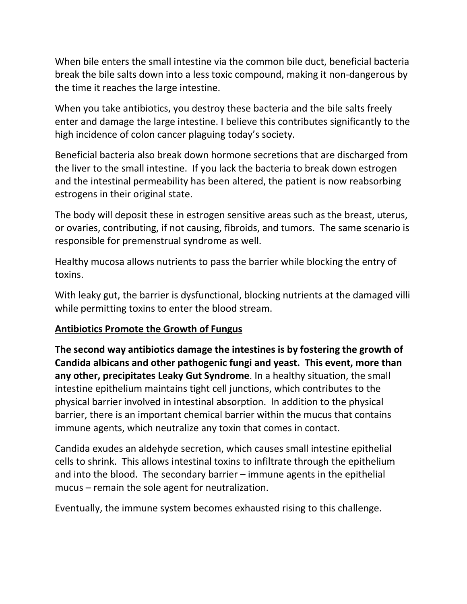When bile enters the small intestine via the common bile duct, beneficial bacteria break the bile salts down into a less toxic compound, making it non-dangerous by the time it reaches the large intestine.

When you take antibiotics, you destroy these bacteria and the bile salts freely enter and damage the large intestine. I believe this contributes significantly to the high incidence of colon cancer plaguing today's society.

Beneficial bacteria also break down hormone secretions that are discharged from the liver to the small intestine. If you lack the bacteria to break down estrogen and the intestinal permeability has been altered, the patient is now reabsorbing estrogens in their original state.

The body will deposit these in estrogen sensitive areas such as the breast, uterus, or ovaries, contributing, if not causing, fibroids, and tumors. The same scenario is responsible for premenstrual syndrome as well.

Healthy mucosa allows nutrients to pass the barrier while blocking the entry of toxins.

With leaky gut, the barrier is dysfunctional, blocking nutrients at the damaged villi while permitting toxins to enter the blood stream.

#### **Antibiotics Promote the Growth of Fungus**

**The second way antibiotics damage the intestines is by fostering the growth of Candida albicans and other pathogenic fungi and yeast. This event, more than any other, precipitates Leaky Gut Syndrome**. In a healthy situation, the small intestine epithelium maintains tight cell junctions, which contributes to the physical barrier involved in intestinal absorption. In addition to the physical barrier, there is an important chemical barrier within the mucus that contains immune agents, which neutralize any toxin that comes in contact.

Candida exudes an aldehyde secretion, which causes small intestine epithelial cells to shrink. This allows intestinal toxins to infiltrate through the epithelium and into the blood. The secondary barrier – immune agents in the epithelial mucus – remain the sole agent for neutralization.

Eventually, the immune system becomes exhausted rising to this challenge.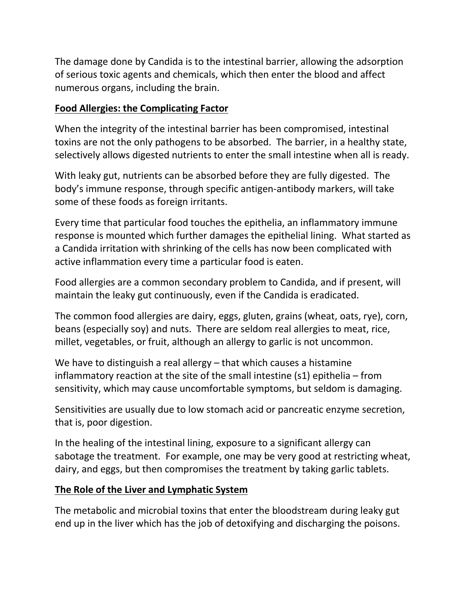The damage done by Candida is to the intestinal barrier, allowing the adsorption of serious toxic agents and chemicals, which then enter the blood and affect numerous organs, including the brain.

# **Food Allergies: the Complicating Factor**

When the integrity of the intestinal barrier has been compromised, intestinal toxins are not the only pathogens to be absorbed. The barrier, in a healthy state, selectively allows digested nutrients to enter the small intestine when all is ready.

With leaky gut, nutrients can be absorbed before they are fully digested. The body's immune response, through specific antigen-antibody markers, will take some of these foods as foreign irritants.

Every time that particular food touches the epithelia, an inflammatory immune response is mounted which further damages the epithelial lining. What started as a Candida irritation with shrinking of the cells has now been complicated with active inflammation every time a particular food is eaten.

Food allergies are a common secondary problem to Candida, and if present, will maintain the leaky gut continuously, even if the Candida is eradicated.

The common food allergies are dairy, eggs, gluten, grains (wheat, oats, rye), corn, beans (especially soy) and nuts. There are seldom real allergies to meat, rice, millet, vegetables, or fruit, although an allergy to garlic is not uncommon.

We have to distinguish a real allergy – that which causes a histamine inflammatory reaction at the site of the small intestine (s1) epithelia – from sensitivity, which may cause uncomfortable symptoms, but seldom is damaging.

Sensitivities are usually due to low stomach acid or pancreatic enzyme secretion, that is, poor digestion.

In the healing of the intestinal lining, exposure to a significant allergy can sabotage the treatment. For example, one may be very good at restricting wheat, dairy, and eggs, but then compromises the treatment by taking garlic tablets.

## **The Role of the Liver and Lymphatic System**

The metabolic and microbial toxins that enter the bloodstream during leaky gut end up in the liver which has the job of detoxifying and discharging the poisons.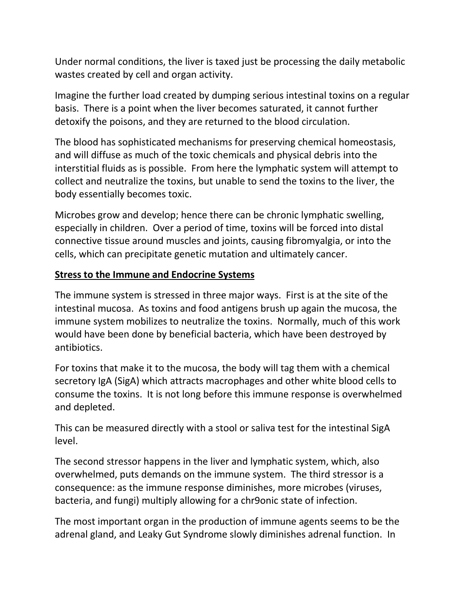Under normal conditions, the liver is taxed just be processing the daily metabolic wastes created by cell and organ activity.

Imagine the further load created by dumping serious intestinal toxins on a regular basis. There is a point when the liver becomes saturated, it cannot further detoxify the poisons, and they are returned to the blood circulation.

The blood has sophisticated mechanisms for preserving chemical homeostasis, and will diffuse as much of the toxic chemicals and physical debris into the interstitial fluids as is possible. From here the lymphatic system will attempt to collect and neutralize the toxins, but unable to send the toxins to the liver, the body essentially becomes toxic.

Microbes grow and develop; hence there can be chronic lymphatic swelling, especially in children. Over a period of time, toxins will be forced into distal connective tissue around muscles and joints, causing fibromyalgia, or into the cells, which can precipitate genetic mutation and ultimately cancer.

## **Stress to the Immune and Endocrine Systems**

The immune system is stressed in three major ways. First is at the site of the intestinal mucosa. As toxins and food antigens brush up again the mucosa, the immune system mobilizes to neutralize the toxins. Normally, much of this work would have been done by beneficial bacteria, which have been destroyed by antibiotics.

For toxins that make it to the mucosa, the body will tag them with a chemical secretory IgA (SigA) which attracts macrophages and other white blood cells to consume the toxins. It is not long before this immune response is overwhelmed and depleted.

This can be measured directly with a stool or saliva test for the intestinal SigA level.

The second stressor happens in the liver and lymphatic system, which, also overwhelmed, puts demands on the immune system. The third stressor is a consequence: as the immune response diminishes, more microbes (viruses, bacteria, and fungi) multiply allowing for a chr9onic state of infection.

The most important organ in the production of immune agents seems to be the adrenal gland, and Leaky Gut Syndrome slowly diminishes adrenal function. In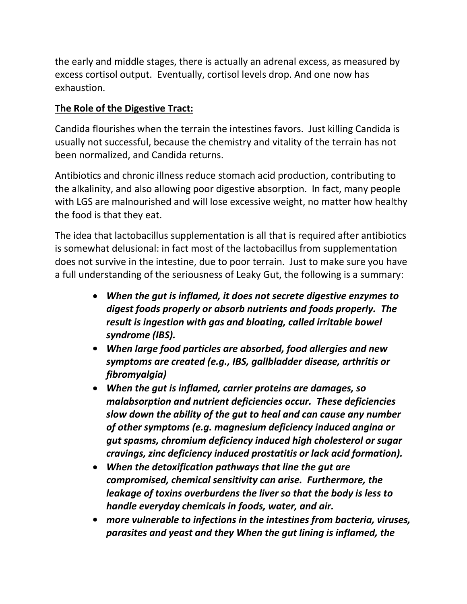the early and middle stages, there is actually an adrenal excess, as measured by excess cortisol output. Eventually, cortisol levels drop. And one now has exhaustion.

### **The Role of the Digestive Tract:**

Candida flourishes when the terrain the intestines favors. Just killing Candida is usually not successful, because the chemistry and vitality of the terrain has not been normalized, and Candida returns.

Antibiotics and chronic illness reduce stomach acid production, contributing to the alkalinity, and also allowing poor digestive absorption. In fact, many people with LGS are malnourished and will lose excessive weight, no matter how healthy the food is that they eat.

The idea that lactobacillus supplementation is all that is required after antibiotics is somewhat delusional: in fact most of the lactobacillus from supplementation does not survive in the intestine, due to poor terrain. Just to make sure you have a full understanding of the seriousness of Leaky Gut, the following is a summary:

- *When the gut is inflamed, it does not secrete digestive enzymes to digest foods properly or absorb nutrients and foodsproperly. The result is ingestion with gas and bloating, called irritable bowel syndrome (IBS).*
- *When large food particles are absorbed, food allergies and new symptoms are created (e.g., IBS, gallbladder disease, arthritis or fibromyalgia)*
- *When the gut is inflamed, carrier proteins are damages, so malabsorption and nutrient deficiencies occur. These deficiencies slow down the ability of the gut to heal and can cause any number of other symptoms (e.g. magnesium deficiency induced angina or gut spasms, chromium deficiency induced high cholesterol or sugar cravings, zinc deficiency induced prostatitis or lack acid formation).*
- *When the detoxification pathways that line the gut are compromised, chemical sensitivity can arise. Furthermore, the leakage of toxins overburdens the liver so that the body is less to handle everyday chemicals in foods, water, and air.*
- *more vulnerable to infections in the intestines from bacteria, viruses, parasites and yeast and they When the gut lining is inflamed, the*